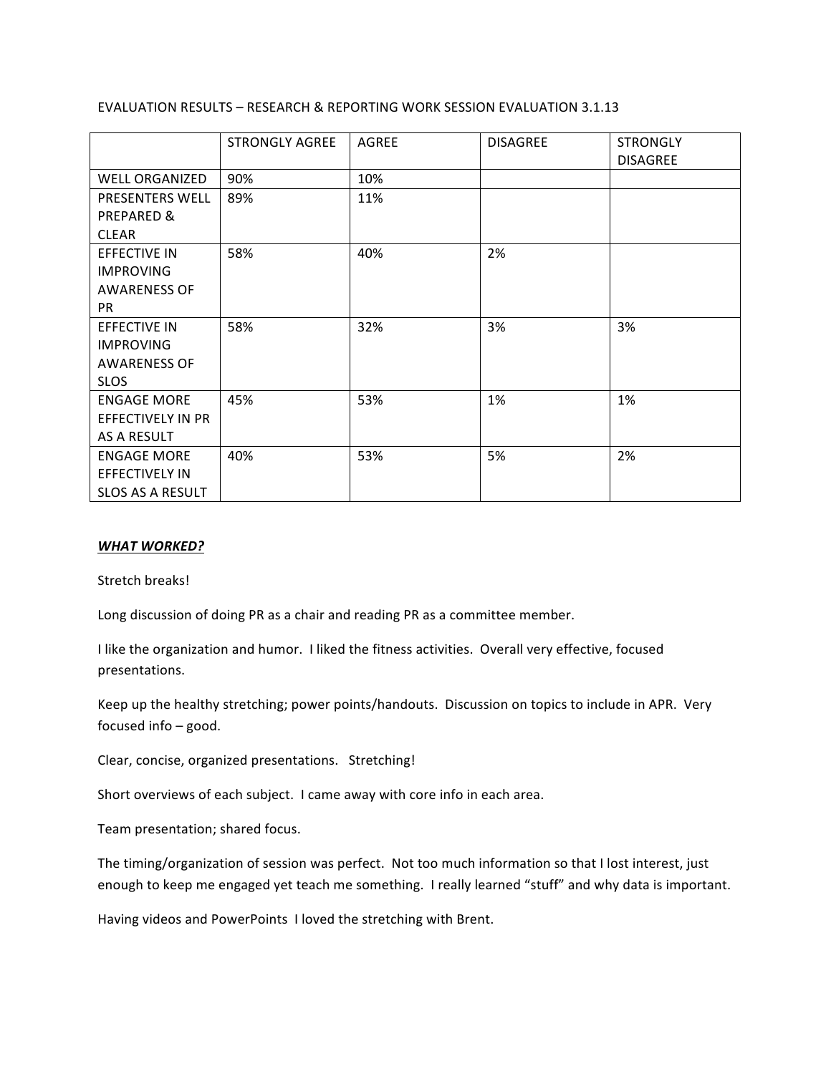## EVALUATION RESULTS - RESEARCH & REPORTING WORK SESSION EVALUATION 3.1.13

|                         | <b>STRONGLY AGREE</b> | <b>AGREE</b> | <b>DISAGREE</b> | <b>STRONGLY</b><br><b>DISAGREE</b> |
|-------------------------|-----------------------|--------------|-----------------|------------------------------------|
| <b>WELL ORGANIZED</b>   | 90%                   | 10%          |                 |                                    |
| PRESENTERS WELL         | 89%                   | 11%          |                 |                                    |
| PREPARED &              |                       |              |                 |                                    |
| <b>CLEAR</b>            |                       |              |                 |                                    |
| <b>EFFECTIVE IN</b>     | 58%                   | 40%          | 2%              |                                    |
| <b>IMPROVING</b>        |                       |              |                 |                                    |
| <b>AWARENESS OF</b>     |                       |              |                 |                                    |
| <b>PR</b>               |                       |              |                 |                                    |
| <b>EFFECTIVE IN</b>     | 58%                   | 32%          | 3%              | 3%                                 |
| <b>IMPROVING</b>        |                       |              |                 |                                    |
| <b>AWARENESS OF</b>     |                       |              |                 |                                    |
| <b>SLOS</b>             |                       |              |                 |                                    |
| <b>ENGAGE MORE</b>      | 45%                   | 53%          | 1%              | 1%                                 |
| EFFECTIVELY IN PR       |                       |              |                 |                                    |
| AS A RESULT             |                       |              |                 |                                    |
| <b>ENGAGE MORE</b>      | 40%                   | 53%          | 5%              | 2%                                 |
| <b>EFFECTIVELY IN</b>   |                       |              |                 |                                    |
| <b>SLOS AS A RESULT</b> |                       |              |                 |                                    |

## *WHAT WORKED?*

Stretch breaks!

Long discussion of doing PR as a chair and reading PR as a committee member.

I like the organization and humor. I liked the fitness activities. Overall very effective, focused presentations.

Keep up the healthy stretching; power points/handouts. Discussion on topics to include in APR. Very focused info  $-$  good.

Clear, concise, organized presentations. Stretching!

Short overviews of each subject. I came away with core info in each area.

Team presentation; shared focus.

The timing/organization of session was perfect. Not too much information so that I lost interest, just enough to keep me engaged yet teach me something. I really learned "stuff" and why data is important.

Having videos and PowerPoints I loved the stretching with Brent.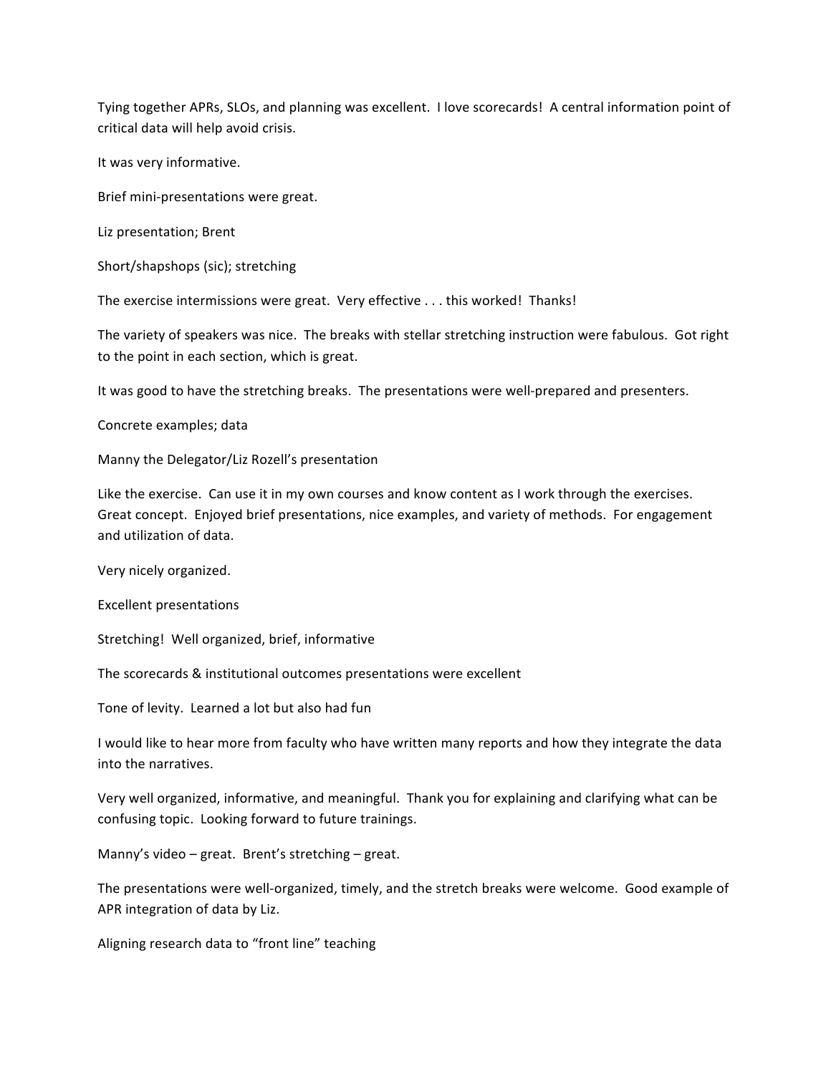Tying together APRs, SLOs, and planning was excellent. I love scorecards! A central information point of critical data will help avoid crisis.

It was very informative.

Brief mini-presentations were great.

Liz presentation; Brent

Short/shapshops (sic); stretching

The exercise intermissions were great. Very effective . . . this worked! Thanks!

The variety of speakers was nice. The breaks with stellar stretching instruction were fabulous. Got right to the point in each section, which is great.

It was good to have the stretching breaks. The presentations were well-prepared and presenters.

Concrete examples; data

Manny the Delegator/Liz Rozell's presentation

Like the exercise. Can use it in my own courses and know content as I work through the exercises. Great concept. Enjoyed brief presentations, nice examples, and variety of methods. For engagement and utilization of data.

Very nicely organized.

Excellent presentations

Stretching! Well organized, brief, informative

The scorecards & institutional outcomes presentations were excellent

Tone of levity. Learned a lot but also had fun

I would like to hear more from faculty who have written many reports and how they integrate the data into the narratives.

Very well organized, informative, and meaningful. Thank you for explaining and clarifying what can be confusing topic. Looking forward to future trainings.

Manny's video – great. Brent's stretching – great.

The presentations were well-organized, timely, and the stretch breaks were welcome. Good example of APR integration of data by Liz.

Aligning research data to "front line" teaching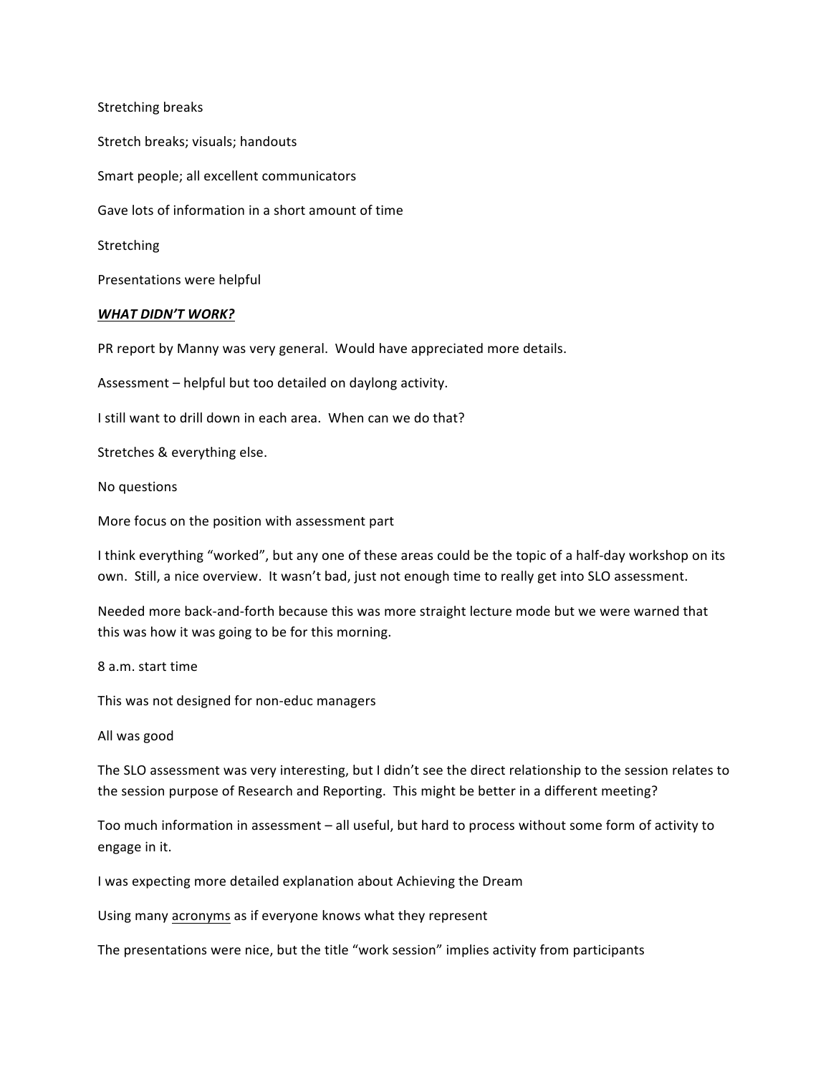Stretching breaks Stretch breaks; visuals; handouts Smart people; all excellent communicators Gave lots of information in a short amount of time Stretching Presentations were helpful *WHAT DIDN'T WORK?* PR report by Manny was very general. Would have appreciated more details. Assessment - helpful but too detailed on daylong activity.

I still want to drill down in each area. When can we do that?

Stretches & everything else.

No questions

More focus on the position with assessment part

I think everything "worked", but any one of these areas could be the topic of a half-day workshop on its own. Still, a nice overview. It wasn't bad, just not enough time to really get into SLO assessment.

Needed more back-and-forth because this was more straight lecture mode but we were warned that this was how it was going to be for this morning.

8 a.m. start time

This was not designed for non-educ managers

All was good

The SLO assessment was very interesting, but I didn't see the direct relationship to the session relates to the session purpose of Research and Reporting. This might be better in a different meeting?

Too much information in assessment - all useful, but hard to process without some form of activity to engage in it.

I was expecting more detailed explanation about Achieving the Dream

Using many acronyms as if everyone knows what they represent

The presentations were nice, but the title "work session" implies activity from participants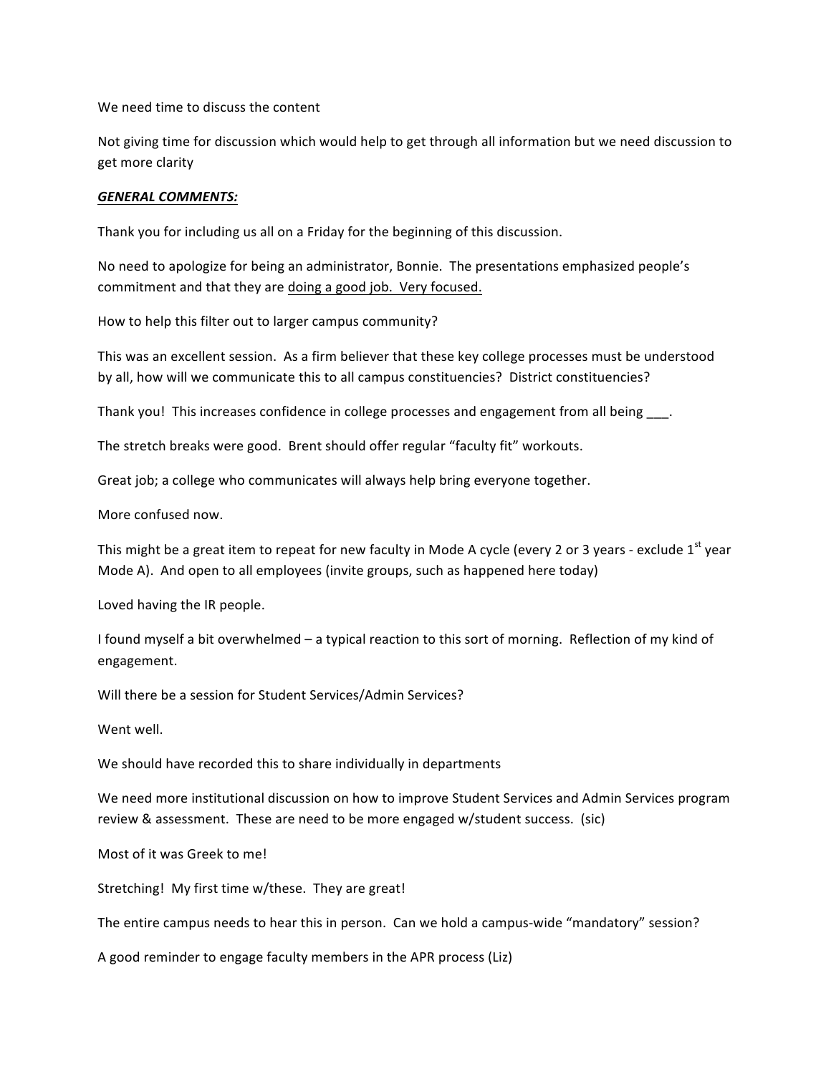We need time to discuss the content

Not giving time for discussion which would help to get through all information but we need discussion to get more clarity

## *GENERAL COMMENTS:*

Thank you for including us all on a Friday for the beginning of this discussion.

No need to apologize for being an administrator, Bonnie. The presentations emphasized people's commitment and that they are doing a good job. Very focused.

How to help this filter out to larger campus community?

This was an excellent session. As a firm believer that these key college processes must be understood by all, how will we communicate this to all campus constituencies? District constituencies?

Thank you! This increases confidence in college processes and engagement from all being ...

The stretch breaks were good. Brent should offer regular "faculty fit" workouts.

Great job; a college who communicates will always help bring everyone together.

More confused now.

This might be a great item to repeat for new faculty in Mode A cycle (every 2 or 3 years - exclude 1<sup>st</sup> year Mode A). And open to all employees (invite groups, such as happened here today)

Loved having the IR people.

I found myself a bit overwhelmed – a typical reaction to this sort of morning. Reflection of my kind of engagement.

Will there be a session for Student Services/Admin Services?

Went well.

We should have recorded this to share individually in departments

We need more institutional discussion on how to improve Student Services and Admin Services program review & assessment. These are need to be more engaged w/student success. (sic)

Most of it was Greek to me!

Stretching! My first time w/these. They are great!

The entire campus needs to hear this in person. Can we hold a campus-wide "mandatory" session?

A good reminder to engage faculty members in the APR process (Liz)